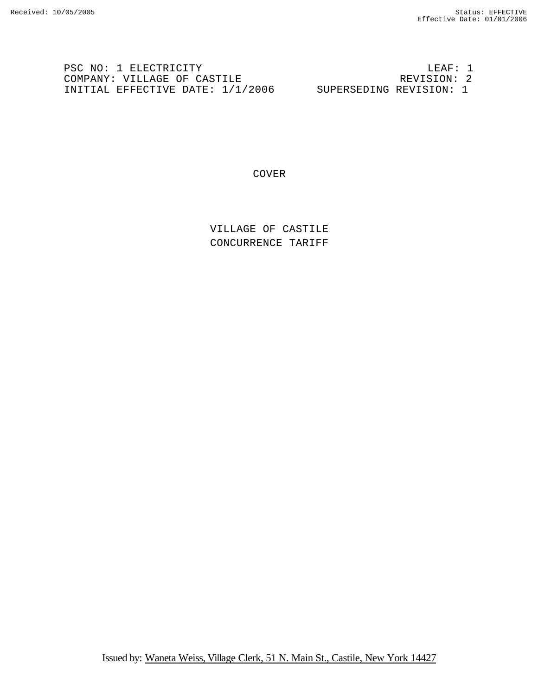PSC NO: 1 ELECTRICITY LEAF: 1<br>
COMPANY: VILLAGE OF CASTILE REVISION: 2 COMPANY: VILLAGE OF CASTILE **EXECUTE REVISION:** 2 INITIAL EFFECTIVE DATE: 1/1/2006 SUPERSEDING REVISION: 1

COVER

VILLAGE OF CASTILE CONCURRENCE TARIFF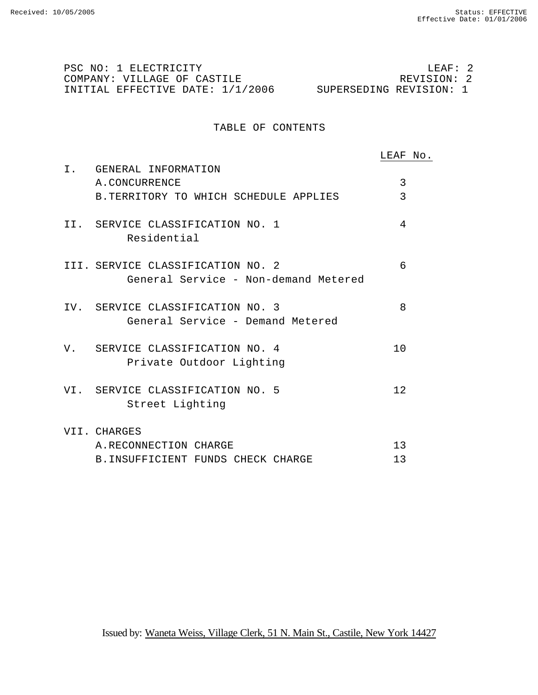PSC NO: 1 ELECTRICITY LEAF: 2 COMPANY: VILLAGE OF CASTILE INITIAL EFFECTIVE DATE: 1/1/2006 SUPERSEDING REVISION: 1

## TABLE OF CONTENTS

LEAF No. I. GENERAL INFORMATION A.CONCURRENCE 3 B.TERRITORY TO WHICH SCHEDULE APPLIES 3 II. SERVICE CLASSIFICATION NO. 1 4 Residential III. SERVICE CLASSIFICATION NO. 2 6 General Service - Non-demand Metered IV. SERVICE CLASSIFICATION NO. 3 8 General Service - Demand Metered V. SERVICE CLASSIFICATION NO. 4 10 Private Outdoor Lighting VI. SERVICE CLASSIFICATION NO. 5 12 Street Lighting VII. CHARGES A.RECONNECTION CHARGE 13 B. INSUFFICIENT FUNDS CHECK CHARGE 13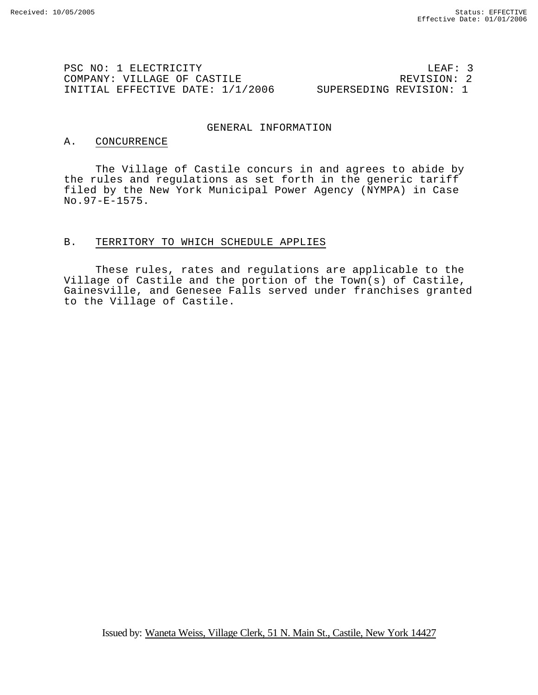PSC NO: 1 ELECTRICITY LEAF: 3 COMPANY: VILLAGE OF CASTILE INITIAL EFFECTIVE DATE: 1/1/2006 SUPERSEDING REVISION: 1

#### GENERAL INFORMATION

#### A. CONCURRENCE

The Village of Castile concurs in and agrees to abide by the rules and regulations as set forth in the generic tariff filed by the New York Municipal Power Agency (NYMPA) in Case No.97-E-1575.

## B. TERRITORY TO WHICH SCHEDULE APPLIES

These rules, rates and regulations are applicable to the Village of Castile and the portion of the Town(s) of Castile, Gainesville, and Genesee Falls served under franchises granted to the Village of Castile.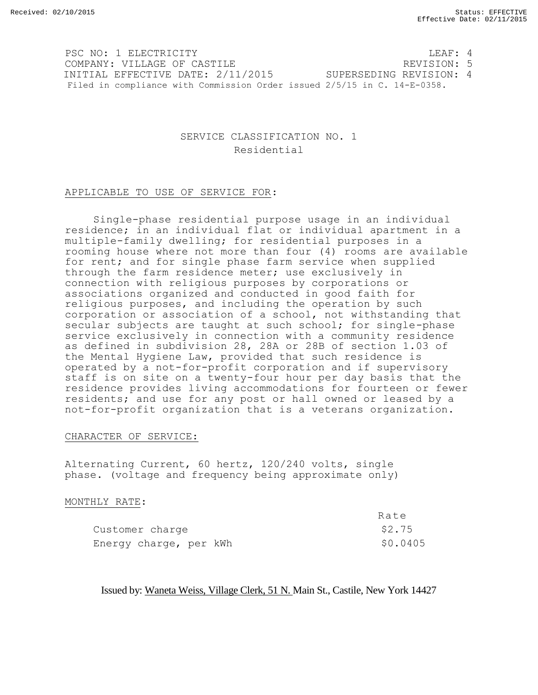PSC NO: 1 ELECTRICITY **LEAF: 4** COMPANY: VILLAGE OF CASTILE **All and STATE COMPANY: 5** INITIAL EFFECTIVE DATE: 2/11/2015 SUPERSEDING REVISION: 4 Filed in compliance with Commission Order issued 2/5/15 in C. 14-E-0358.

# SERVICE CLASSIFICATION NO. 1 Residential

## APPLICABLE TO USE OF SERVICE FOR:

Single-phase residential purpose usage in an individual residence; in an individual flat or individual apartment in a multiple-family dwelling; for residential purposes in a rooming house where not more than four (4) rooms are available for rent; and for single phase farm service when supplied through the farm residence meter; use exclusively in connection with religious purposes by corporations or associations organized and conducted in good faith for religious purposes, and including the operation by such corporation or association of a school, not withstanding that secular subjects are taught at such school; for single-phase service exclusively in connection with a community residence as defined in subdivision 28, 28A or 28B of section 1.03 of the Mental Hygiene Law, provided that such residence is operated by a not-for-profit corporation and if supervisory staff is on site on a twenty-four hour per day basis that the residence provides living accommodations for fourteen or fewer residents; and use for any post or hall owned or leased by a not-for-profit organization that is a veterans organization.

## CHARACTER OF SERVICE:

Alternating Current, 60 hertz, 120/240 volts, single phase. (voltage and frequency being approximate only)

## MONTHLY RATE:

|                        | Rate     |
|------------------------|----------|
| Customer charge        | \$2.75   |
| Energy charge, per kWh | \$0.0405 |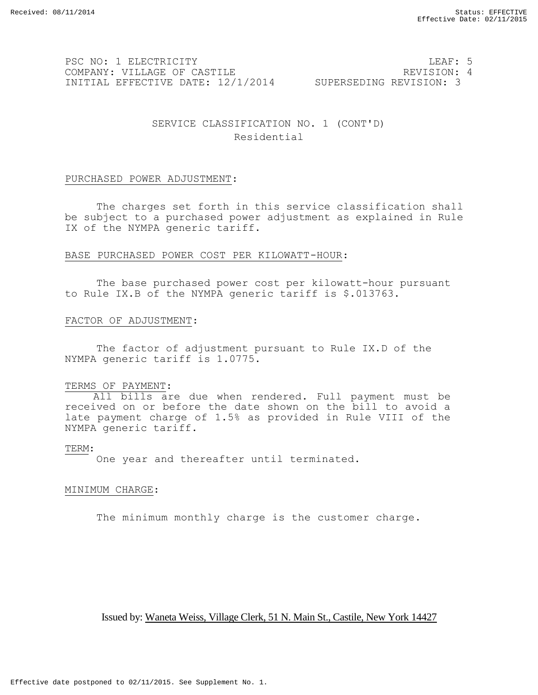PSC NO: 1 ELECTRICITY LEAF: 5 COMPANY: VILLAGE OF CASTILE **All and STATE REVISION: 4** INITIAL EFFECTIVE DATE: 12/1/2014 SUPERSEDING REVISION: 3

# SERVICE CLASSIFICATION NO. 1 (CONT'D) Residential

## PURCHASED POWER ADJUSTMENT:

The charges set forth in this service classification shall be subject to a purchased power adjustment as explained in Rule IX of the NYMPA generic tariff.

## BASE PURCHASED POWER COST PER KILOWATT-HOUR:

The base purchased power cost per kilowatt-hour pursuant to Rule IX.B of the NYMPA generic tariff is \$.013763.

## FACTOR OF ADJUSTMENT:

The factor of adjustment pursuant to Rule IX.D of the NYMPA generic tariff is 1.0775.

## TERMS OF PAYMENT:

All bills are due when rendered. Full payment must be received on or before the date shown on the bill to avoid a late payment charge of 1.5% as provided in Rule VIII of the NYMPA generic tariff.

## TERM:

One year and thereafter until terminated.

## MINIMUM CHARGE:

The minimum monthly charge is the customer charge.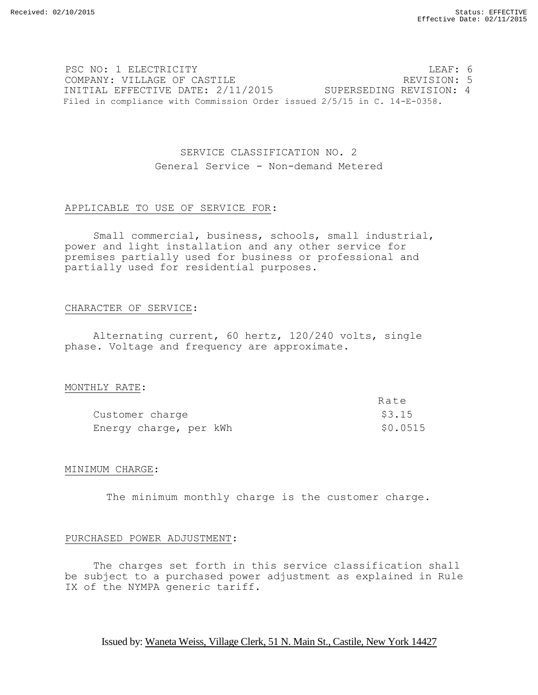PSC NO: 1 ELECTRICITY LEAF: 6 COMPANY: VILLAGE OF CASTILE **EXECUTER SECUTE ASSESSED ASSESSED** REVISION: 5 INITIAL EFFECTIVE DATE: 2/11/2015 SUPERSEDING REVISION: 4 Filed in compliance with Commission Order issued 2/5/15 in C. 14-E-0358.

# SERVICE CLASSIFICATION NO. 2 General Service - Non-demand Metered

## APPLICABLE TO USE OF SERVICE FOR:

Small commercial, business, schools, small industrial, power and light installation and any other service for premises partially used for business or professional and partially used for residential purposes.

## CHARACTER OF SERVICE:

Alternating current, 60 hertz, 120/240 volts, single phase. Voltage and frequency are approximate.

## MONTHLY RATE:

|                        | Rate     |
|------------------------|----------|
| Customer charge        | \$3.15   |
| Energy charge, per kWh | \$0.0515 |

## MINIMUM CHARGE:

The minimum monthly charge is the customer charge.

## PURCHASED POWER ADJUSTMENT:

The charges set forth in this service classification shall be subject to a purchased power adjustment as explained in Rule IX of the NYMPA generic tariff.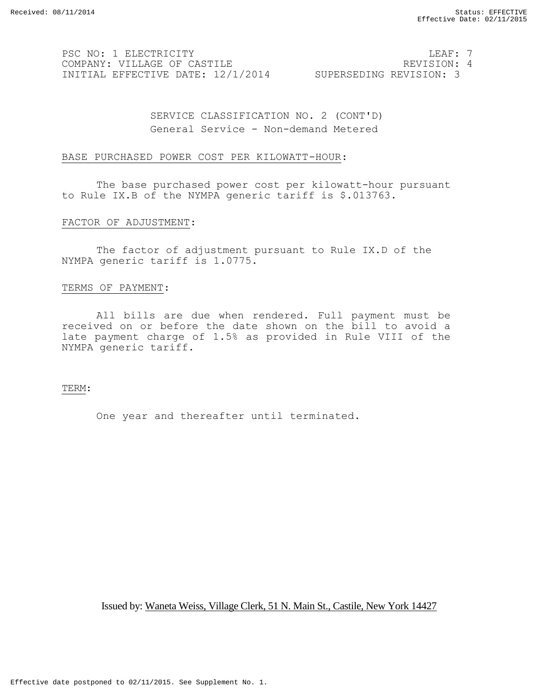PSC NO: 1 ELECTRICITY LEAF: 7 COMPANY: VILLAGE OF CASTILE **All and STEAM COMPANY: 4** INITIAL EFFECTIVE DATE: 12/1/2014 SUPERSEDING REVISION: 3

SERVICE CLASSIFICATION NO. 2 (CONT'D) General Service - Non-demand Metered

#### BASE PURCHASED POWER COST PER KILOWATT-HOUR:

The base purchased power cost per kilowatt-hour pursuant to Rule IX.B of the NYMPA generic tariff is \$.013763.

#### FACTOR OF ADJUSTMENT:

The factor of adjustment pursuant to Rule IX.D of the NYMPA generic tariff is 1.0775.

## TERMS OF PAYMENT:

All bills are due when rendered. Full payment must be received on or before the date shown on the bill to avoid a late payment charge of 1.5% as provided in Rule VIII of the NYMPA generic tariff.

#### TERM:

One year and thereafter until terminated.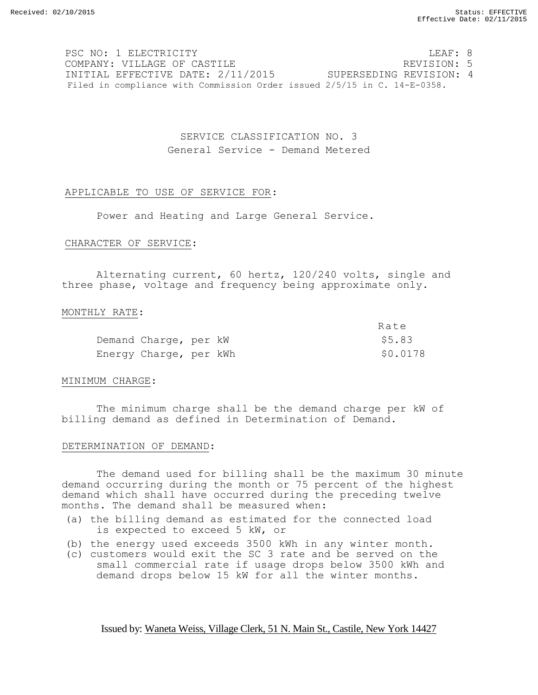PSC NO: 1 ELECTRICITY **LEAF: 8** COMPANY: VILLAGE OF CASTILE REVISION: 5 INITIAL EFFECTIVE DATE: 2/11/2015 SUPERSEDING REVISION: 4 Filed in compliance with Commission Order issued 2/5/15 in C. 14-E-0358.

> SERVICE CLASSIFICATION NO. 3 General Service - Demand Metered

## APPLICABLE TO USE OF SERVICE FOR:

Power and Heating and Large General Service.

#### CHARACTER OF SERVICE:

Alternating current, 60 hertz, 120/240 volts, single and three phase, voltage and frequency being approximate only.

#### MONTHLY RATE:

|                        |  |  | Rate     |
|------------------------|--|--|----------|
| Demand Charge, per kW  |  |  | \$5.83   |
| Energy Charge, per kWh |  |  | \$0.0178 |

## MINIMUM CHARGE:

The minimum charge shall be the demand charge per kW of billing demand as defined in Determination of Demand.

## DETERMINATION OF DEMAND:

The demand used for billing shall be the maximum 30 minute demand occurring during the month or 75 percent of the highest demand which shall have occurred during the preceding twelve months. The demand shall be measured when:

- (a) the billing demand as estimated for the connected load is expected to exceed 5 kW, or
- (b) the energy used exceeds 3500 kWh in any winter month.
- (c) customers would exit the SC 3 rate and be served on the small commercial rate if usage drops below 3500 kWh and demand drops below 15 kW for all the winter months.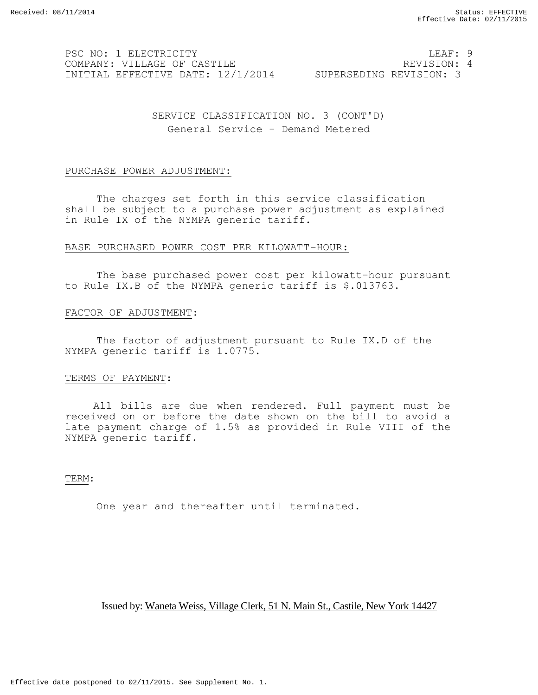PSC NO: 1 ELECTRICITY **LEAF: 9** COMPANY: VILLAGE OF CASTILE REVISION: 4 INITIAL EFFECTIVE DATE: 12/1/2014 SUPERSEDING REVISION: 3

SERVICE CLASSIFICATION NO. 3 (CONT'D) General Service - Demand Metered

#### PURCHASE POWER ADJUSTMENT:

The charges set forth in this service classification shall be subject to a purchase power adjustment as explained in Rule IX of the NYMPA generic tariff.

## BASE PURCHASED POWER COST PER KILOWATT-HOUR:

The base purchased power cost per kilowatt-hour pursuant to Rule IX.B of the NYMPA generic tariff is \$.013763.

## FACTOR OF ADJUSTMENT:

The factor of adjustment pursuant to Rule IX.D of the NYMPA generic tariff is 1.0775.

#### TERMS OF PAYMENT:

All bills are due when rendered. Full payment must be received on or before the date shown on the bill to avoid a late payment charge of 1.5% as provided in Rule VIII of the NYMPA generic tariff.

TERM:

One year and thereafter until terminated.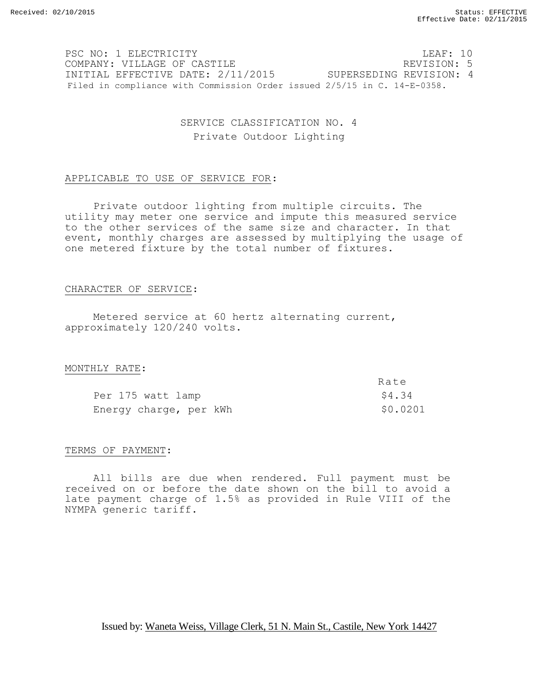PSC NO: 1 ELECTRICITY **LEAF: 10** COMPANY: VILLAGE OF CASTILE REVISION: 5 INITIAL EFFECTIVE DATE: 2/11/2015 SUPERSEDING REVISION: 4 Filed in compliance with Commission Order issued 2/5/15 in C. 14-E-0358.

# SERVICE CLASSIFICATION NO. 4 Private Outdoor Lighting

## APPLICABLE TO USE OF SERVICE FOR:

Private outdoor lighting from multiple circuits. The utility may meter one service and impute this measured service to the other services of the same size and character. In that event, monthly charges are assessed by multiplying the usage of one metered fixture by the total number of fixtures.

## CHARACTER OF SERVICE:

Metered service at 60 hertz alternating current, approximately 120/240 volts.

## MONTHLY RATE:

|                        | Rate     |
|------------------------|----------|
| Per 175 watt lamp      | \$4.34   |
| Energy charge, per kWh | \$0.0201 |

## TERMS OF PAYMENT:

All bills are due when rendered. Full payment must be received on or before the date shown on the bill to avoid a late payment charge of 1.5% as provided in Rule VIII of the NYMPA generic tariff.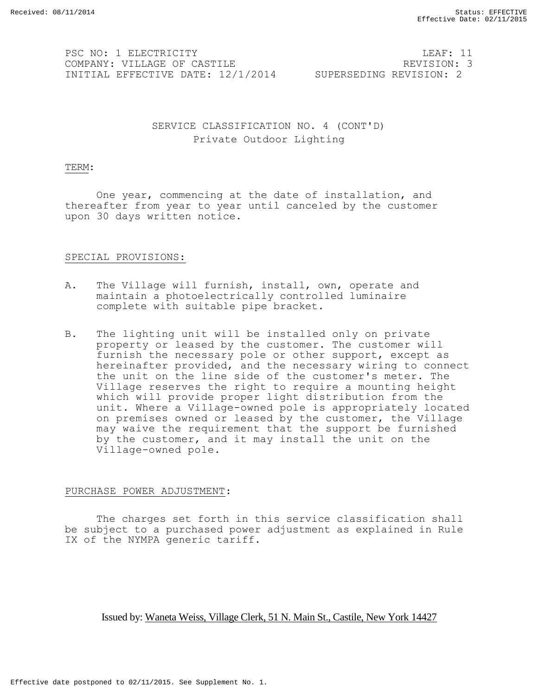PSC NO: 1 ELECTRICITY **LEAF: 11** COMPANY: VILLAGE OF CASTILE **All and STATE COMPANY: 3** INITIAL EFFECTIVE DATE: 12/1/2014 SUPERSEDING REVISION: 2

SERVICE CLASSIFICATION NO. 4 (CONT'D) Private Outdoor Lighting

#### TERM:

One year, commencing at the date of installation, and thereafter from year to year until canceled by the customer upon 30 days written notice.

## SPECIAL PROVISIONS:

- A. The Village will furnish, install, own, operate and maintain a photoelectrically controlled luminaire complete with suitable pipe bracket.
- B. The lighting unit will be installed only on private property or leased by the customer. The customer will furnish the necessary pole or other support, except as hereinafter provided, and the necessary wiring to connect the unit on the line side of the customer's meter. The Village reserves the right to require a mounting height which will provide proper light distribution from the unit. Where a Village-owned pole is appropriately located on premises owned or leased by the customer, the Village may waive the requirement that the support be furnished by the customer, and it may install the unit on the Village-owned pole.

## PURCHASE POWER ADJUSTMENT:

The charges set forth in this service classification shall be subject to a purchased power adjustment as explained in Rule IX of the NYMPA generic tariff.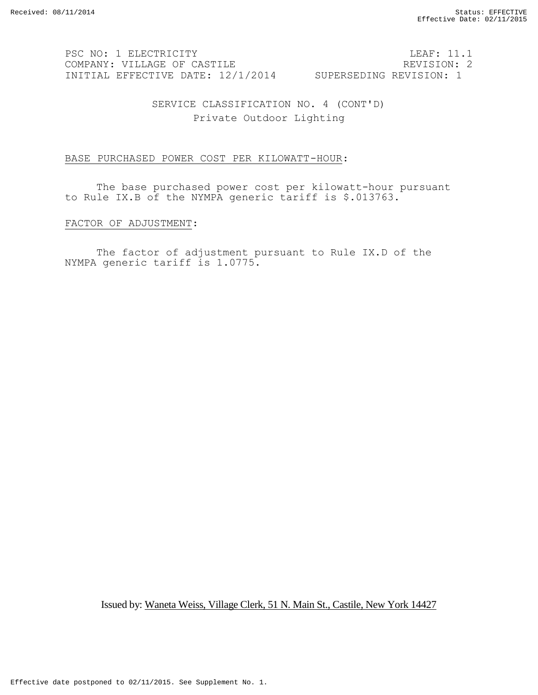PSC NO: 1 ELECTRICITY LEAF: 11.1 COMPANY: VILLAGE OF CASTILE **REVISION: 2** INITIAL EFFECTIVE DATE: 12/1/2014 SUPERSEDING REVISION: 1

SERVICE CLASSIFICATION NO. 4 (CONT'D) Private Outdoor Lighting

## BASE PURCHASED POWER COST PER KILOWATT-HOUR:

The base purchased power cost per kilowatt-hour pursuant to Rule IX.B of the NYMPA generic tariff is \$.013763.

#### FACTOR OF ADJUSTMENT:

The factor of adjustment pursuant to Rule IX.D of the NYMPA generic tariff is 1.0775.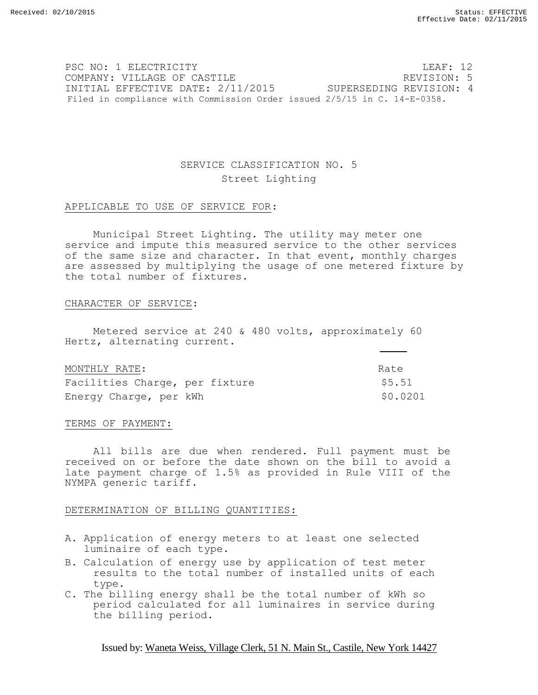PSC NO: 1 ELECTRICITY LEAF: 12 COMPANY: VILLAGE OF CASTILE REVISION: 5 INITIAL EFFECTIVE DATE: 2/11/2015 SUPERSEDING REVISION: 4 Filed in compliance with Commission Order issued 2/5/15 in C. 14-E-0358.

# SERVICE CLASSIFICATION NO. 5 Street Lighting

# APPLICABLE TO USE OF SERVICE FOR:

Municipal Street Lighting. The utility may meter one service and impute this measured service to the other services of the same size and character. In that event, monthly charges are assessed by multiplying the usage of one metered fixture by the total number of fixtures.

# CHARACTER OF SERVICE:

Metered service at 240 & 480 volts, approximately 60 Hertz, alternating current.

| MONTHLY RATE:                  | Rate     |
|--------------------------------|----------|
| Facilities Charge, per fixture | \$5.51   |
| Energy Charge, per kWh         | \$0.0201 |

# TERMS OF PAYMENT:

All bills are due when rendered. Full payment must be received on or before the date shown on the bill to avoid a late payment charge of 1.5% as provided in Rule VIII of the NYMPA generic tariff.

# DETERMINATION OF BILLING QUANTITIES:

- A. Application of energy meters to at least one selected luminaire of each type.
- B. Calculation of energy use by application of test meter results to the total number of installed units of each type.
- C. The billing energy shall be the total number of kWh so period calculated for all luminaires in service during the billing period.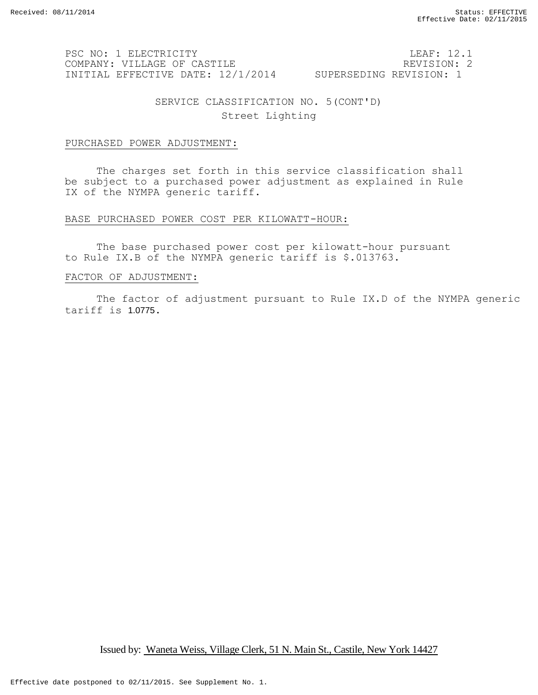PSC NO: 1 ELECTRICITY LEAF: 12.1 COMPANY: VILLAGE OF CASTILE REVISION: 2 INITIAL EFFECTIVE DATE: 12/1/2014 SUPERSEDING REVISION: 1

SERVICE CLASSIFICATION NO. 5(CONT'D) Street Lighting

## PURCHASED POWER ADJUSTMENT:

The charges set forth in this service classification shall be subject to a purchased power adjustment as explained in Rule IX of the NYMPA generic tariff.

## BASE PURCHASED POWER COST PER KILOWATT-HOUR:

The base purchased power cost per kilowatt-hour pursuant to Rule IX.B of the NYMPA generic tariff is \$.013763.

#### FACTOR OF ADJUSTMENT:

The factor of adjustment pursuant to Rule IX.D of the NYMPA generic tariff is 1.0775.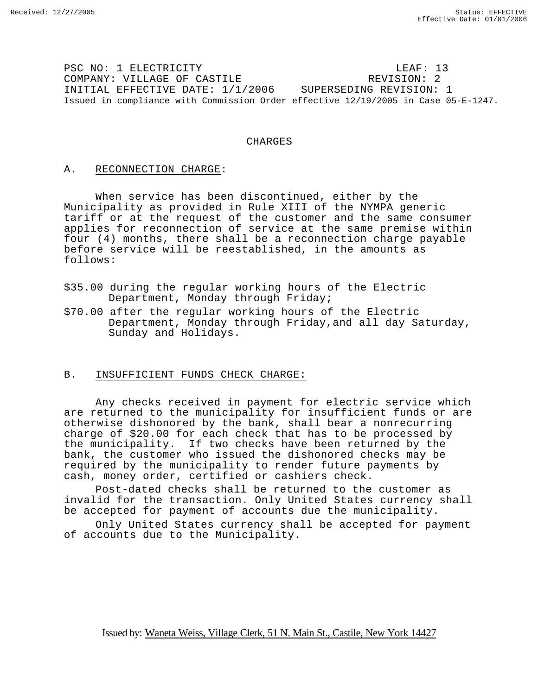PSC NO: 1 ELECTRICITY LEAF: 13 COMPANY: VILLAGE OF CASTILE REVISION: 2 INITIAL EFFECTIVE DATE: 1/1/2006 SUPERSEDING REVISION: 1 Issued in compliance with Commission Order effective 12/19/2005 in Case 05-E-1247.

## CHARGES

## A. RECONNECTION CHARGE:

When service has been discontinued, either by the Municipality as provided in Rule XIII of the NYMPA generic tariff or at the request of the customer and the same consumer applies for reconnection of service at the same premise within four (4) months, there shall be a reconnection charge payable before service will be reestablished, in the amounts as follows:

- \$35.00 during the regular working hours of the Electric Department, Monday through Friday;
- \$70.00 after the regular working hours of the Electric Department, Monday through Friday,and all day Saturday, Sunday and Holidays.

## B. INSUFFICIENT FUNDS CHECK CHARGE:

Any checks received in payment for electric service which are returned to the municipality for insufficient funds or are otherwise dishonored by the bank, shall bear a nonrecurring charge of \$20.00 for each check that has to be processed by the municipality. If two checks have been returned by the bank, the customer who issued the dishonored checks may be required by the municipality to render future payments by cash, money order, certified or cashiers check.

Post-dated checks shall be returned to the customer as invalid for the transaction. Only United States currency shall be accepted for payment of accounts due the municipality.

Only United States currency shall be accepted for payment of accounts due to the Municipality.